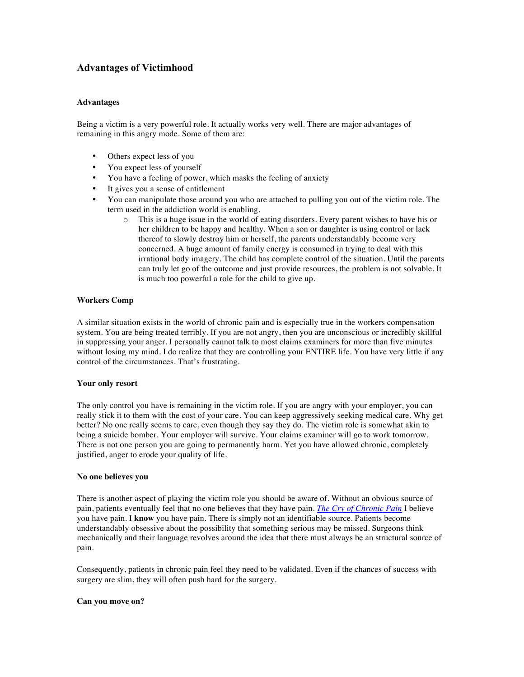# **Advantages of Victimhood**

#### **Advantages**

Being a victim is a very powerful role. It actually works very well. There are major advantages of remaining in this angry mode. Some of them are:

- Others expect less of you
- You expect less of yourself
- You have a feeling of power, which masks the feeling of anxiety
- It gives you a sense of entitlement
- You can manipulate those around you who are attached to pulling you out of the victim role. The term used in the addiction world is enabling.
	- o This is a huge issue in the world of eating disorders. Every parent wishes to have his or her children to be happy and healthy. When a son or daughter is using control or lack thereof to slowly destroy him or herself, the parents understandably become very concerned. A huge amount of family energy is consumed in trying to deal with this irrational body imagery. The child has complete control of the situation. Until the parents can truly let go of the outcome and just provide resources, the problem is not solvable. It is much too powerful a role for the child to give up.

## **Workers Comp**

A similar situation exists in the world of chronic pain and is especially true in the workers compensation system. You are being treated terribly. If you are not angry, then you are unconscious or incredibly skillful in suppressing your anger. I personally cannot talk to most claims examiners for more than five minutes without losing my mind. I do realize that they are controlling your ENTIRE life. You have very little if any control of the circumstances. That's frustrating.

#### **Your only resort**

The only control you have is remaining in the victim role. If you are angry with your employer, you can really stick it to them with the cost of your care. You can keep aggressively seeking medical care. Why get better? No one really seems to care, even though they say they do. The victim role is somewhat akin to being a suicide bomber. Your employer will survive. Your claims examiner will go to work tomorrow. There is not one person you are going to permanently harm. Yet you have allowed chronic, completely justified, anger to erode your quality of life.

#### **No one believes you**

There is another aspect of playing the victim role you should be aware of. Without an obvious source of pain, patients eventually feel that no one believes that they have pain. *The Cry of Chronic Pain* I believe you have pain. I **know** you have pain. There is simply not an identifiable source. Patients become understandably obsessive about the possibility that something serious may be missed. Surgeons think mechanically and their language revolves around the idea that there must always be an structural source of pain.

Consequently, patients in chronic pain feel they need to be validated. Even if the chances of success with surgery are slim, they will often push hard for the surgery.

## **Can you move on?**